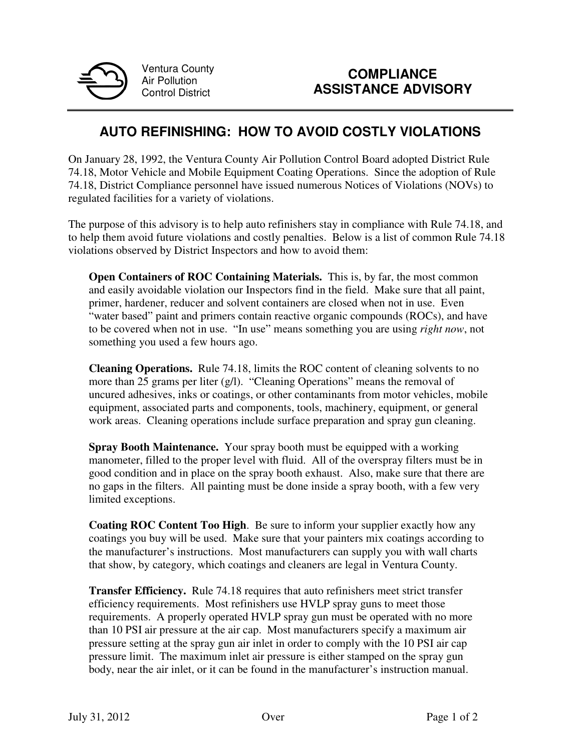

Ventura County Air Pollution Control District

## **AUTO REFINISHING: HOW TO AVOID COSTLY VIOLATIONS**

On January 28, 1992, the Ventura County Air Pollution Control Board adopted District Rule 74.18, Motor Vehicle and Mobile Equipment Coating Operations. Since the adoption of Rule 74.18, District Compliance personnel have issued numerous Notices of Violations (NOVs) to regulated facilities for a variety of violations.

The purpose of this advisory is to help auto refinishers stay in compliance with Rule 74.18, and to help them avoid future violations and costly penalties.Below is a list of common Rule 74.18 violations observed by District Inspectors and how to avoid them:

**Open Containers of ROC Containing Materials.** This is, by far, the most common and easily avoidable violation our Inspectors find in the field. Make sure that all paint, primer, hardener, reducer and solvent containers are closed when not in use. Even "water based" paint and primers contain reactive organic compounds (ROCs), and have to be covered when not in use. "In use" means something you are using *right now*, not something you used a few hours ago.

**Cleaning Operations.** Rule 74.18, limits the ROC content of cleaning solvents to no more than 25 grams per liter (g/l). "Cleaning Operations" means the removal of uncured adhesives, inks or coatings, or other contaminants from motor vehicles, mobile equipment, associated parts and components, tools, machinery, equipment, or general work areas. Cleaning operations include surface preparation and spray gun cleaning.

**Spray Booth Maintenance.** Your spray booth must be equipped with a working manometer, filled to the proper level with fluid. All of the overspray filters must be in good condition and in place on the spray booth exhaust. Also, make sure that there are no gaps in the filters. All painting must be done inside a spray booth, with a few very limited exceptions.

**Coating ROC Content Too High**. Be sure to inform your supplier exactly how any coatings you buy will be used. Make sure that your painters mix coatings according to the manufacturer's instructions. Most manufacturers can supply you with wall charts that show, by category, which coatings and cleaners are legal in Ventura County.

**Transfer Efficiency.** Rule 74.18 requires that auto refinishers meet strict transfer efficiency requirements. Most refinishers use HVLP spray guns to meet those requirements. A properly operated HVLP spray gun must be operated with no more than 10 PSI air pressure at the air cap. Most manufacturers specify a maximum air pressure setting at the spray gun air inlet in order to comply with the 10 PSI air cap pressure limit. The maximum inlet air pressure is either stamped on the spray gun body, near the air inlet, or it can be found in the manufacturer's instruction manual.